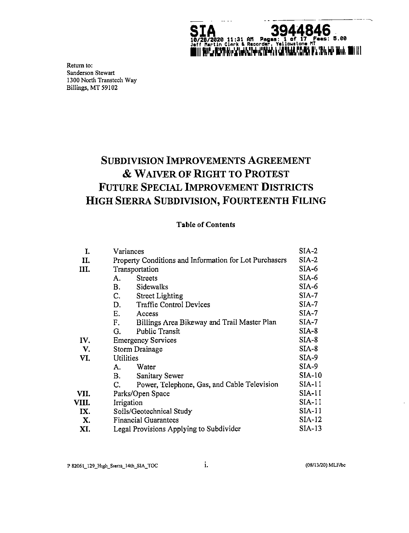

Return to: Sanderson Stewart 1300 North Transtech Way Billings, MT 59102

# **SUBDIVISION IMPROVEMENTS AGREEMENT** & WAIVER OF RIGHT TO PROTEST FUTURE SPECIAL IMPROVEMENT DISTRICTS HIGH SIERRA SUBDIVISION, FOURTEENTH FILING

#### **Table of Contents**

| I.    | Variances                                              | $SIA-2$       |
|-------|--------------------------------------------------------|---------------|
| II.   | Property Conditions and Information for Lot Purchasers | $SIA-2$       |
| III.  | Transportation                                         | SIA-6         |
|       | <b>Streets</b><br>А.                                   | SIA-6         |
|       | В.<br>Sidewalks                                        | $SIA-6$       |
|       | $C_{\cdot}$<br><b>Street Lighting</b>                  | $SIA-7$       |
|       | <b>Traffic Control Devices</b><br>D.                   | $SIA-7$       |
|       | Е.<br>Access                                           | $SIA-7$       |
|       | F.<br>Billings Area Bikeway and Trail Master Plan      | $SIA-7$       |
|       | G.<br><b>Public Transit</b>                            | $SIA-8$       |
| IV.   | <b>Emergency Services</b>                              | $SIA-8$       |
| V.    | Storm Drainage                                         | $SIA-8$       |
| VI.   | Utilities                                              | $SIA-9$       |
|       | Water<br>A.                                            | $SIA-9$       |
|       | <b>B.</b><br><b>Sanitary Sewer</b>                     | <b>SIA-10</b> |
|       | Power, Telephone, Gas, and Cable Television<br>C.      | $SIA-11$      |
| VII.  | Parks/Open Space                                       | $SIA-11$      |
| VIII. | Irrigation                                             | $SIA-11$      |
| IX.   | Soils/Geotechnical Study                               | <b>SIA-11</b> |
| X.    | <b>Financial Guarantees</b>                            | SIA-12        |
| XI.   | Legal Provisions Applying to Subdivider                | $SIA-13$      |
|       |                                                        |               |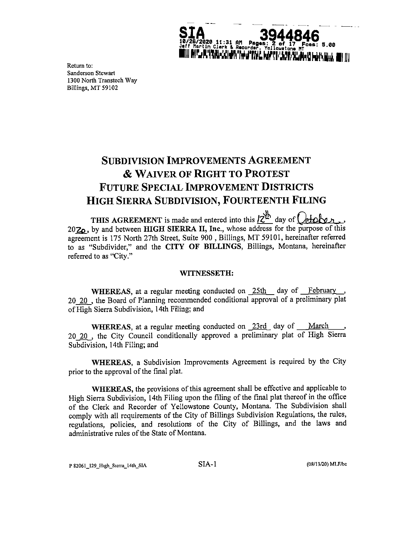

Return to: Sanderson Stewart 1300 North Transtech Way Billings, MT 59102

# **SUBDIVISION IMPROVEMENTS AGREEMENT & WAIVER OF RIGHT TO PROTEST FUTURE SPECIAL IMPROVEMENT DISTRICTS HIGH SIERRA SUBDIVISION, FOURTEENTH FILING**

THIS AGREEMENT is made and entered into this  $2^{\frac{1}{2}}$  day of  $O$ tober. 20<sub>20</sub>, by and between HIGH SIERRA II, Inc., whose address for the purpose of this agreement is 175 North 27th Street, Suite 900, Billings, MT 59101, hereinafter referred to as "Subdivider," and the CITY OF BILLINGS, Billings, Montana, hereinafter referred to as "City."

#### WITNESSETH:

**WHEREAS**, at a regular meeting conducted on  $25th$  day of February 20 20, the Board of Planning recommended conditional approval of a preliminary plat of High Sierra Subdivision, 14th Filing; and

WHEREAS, at a regular meeting conducted on 23rd day of March 20 20, the City Council conditionally approved a preliminary plat of High Sierra Subdivision, 14th Filing; and

WHEREAS, a Subdivision Improvements Agreement is required by the City prior to the approval of the final plat.

WHEREAS, the provisions of this agreement shall be effective and applicable to High Sierra Subdivision, 14th Filing upon the filing of the final plat thereof in the office of the Clerk and Recorder of Yellowstone County, Montana. The Subdivision shall comply with all requirements of the City of Billings Subdivision Regulations, the rules, regulations, policies, and resolutions of the City of Billings, and the laws and administrative rules of the State of Montana.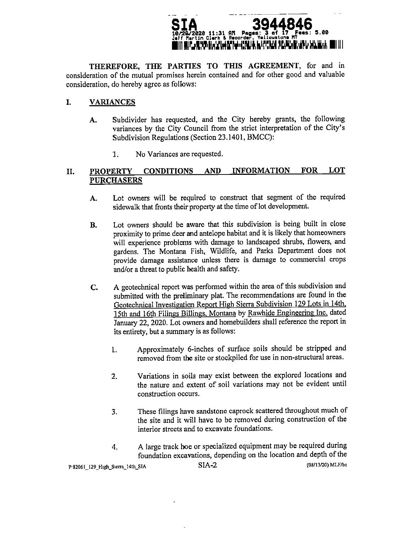

**THEREFORE, THE PARTIES TO THIS AGREEMENT, for and in considerationof the mutual promises hereincontainedand for othergood and valuable consideration,do hereby agreeas follows:**

# **I. VARIANCES**

- **A. Subdivider has requested,and the City hereby grants,the following variancesby the City Council from the strictinterpretationof the City's** Subdivision Regulations (Section 23.1401, BMCC):
	- 1. No Variances are requested.

## **II. PROPERTY CONDITIONS AND INFORMATION FOR LOT PURCHASERS**

- **A. Lot owners will be requiredto constructthat segment of the required** sidewalk that fronts their property at the time of lot development.
- **B.** Lot owners should be aware that this subdivision is being built in close proximity to prime deer and antelope habitat and it is likely that homeowners will experience problems with damage to landscaped shrubs, flowers, and **gardens.The Montana Fish, Wildlife,and Parks Department does not provide damage assistanceunless there is damage to commercial crops and/ora threattopublichealthand safety.**
- **C.** A geotechnical report was performed within the area of this subdivision and submitted with the preliminary plat. The recommendations are found in the **GeotechnicalInvestigationReport High SierraSubdivision129 Lots in 14th, 15th and 16th Filings Billings, Montana** by Rawhide Engineering Inc. dated January 22, 2020. Lot owners and homebuilders shall reference the report in **itsentirety,buta summary isasfollows:**
	- 1. **Approximately** 6-inches of surface soils should be stripped and removed from the site or stockpiled for use in non-structural areas.
	- 2. **Variations** in soils may exist between the explored locations and **the natureand.extentof soilvariationsmay not be evidentuntil** construction occurs.
	- **3. These filingshave sandstonecaprock scatteredthroughoutmuch of the siteand itwillhave to be removed during constructionof the interior streets and to excavate foundations.**
	- **4. <sup>A</sup> largetrackhoe or specializedequipment may be requiredduring foundation excavations, depending on the location and depth of the**<br>SIA-2 (08/13/20) MLF/be

**P**\*82061\_129\_High\_Sierra\_14th\_SIA **SIA-2**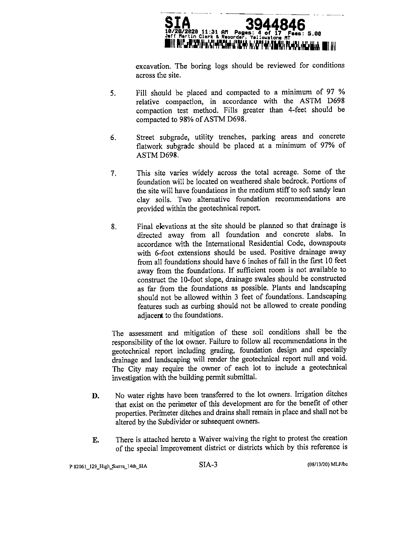

**excavation.The boring logs should be reviewed for conditions** across the site.

- **5. Fillshould be placed and compacted to <sup>a</sup> minimum of <sup>97</sup> % relativecompaction, in accordance with the ASTM D698 compaction test method. Fills greater than 4-feet should be compacted to 98% of ASTM D698.**
- **6. Street subgrade, utilitytrenches,parking areas and concrete flatwork subgrade should be placed at <sup>a</sup> minimum of 97% of ASTM D698.**
- **7. This sitevaries widely across the totalacreage. Some of the** foundation will be located on weathered shale bedrock. Portions of **the sitewillhave foundationsinthemedium stiffto softsandy lean clay soils.Two alternativefoundation recommendations are** provided within the geotechnical report.
- **8. Final elevationsat the siteshould be planned so thatdrainageis directed away from all foundation and concrete slabs. In accordance with the InternationalResidentialCode, downspouts with 6-foot extensionsshould be used. Positivedrainage away from allfoundationsshouldhave 6 inchesof fallinthe first10 feet** away from the foundations. If sufficient room is not available to **constructthe 10-footslope,drainageswales should be constructed as far from the foundationsas possible.Plants and landscaping should not be allowed within 3 feetof foundations.Landscaping featuressuch as curbing should not be allowed to createponding** adjacent to the foundations.

**The assessment and mitigationof these soil conditionsshall be the responsibilityof the lotowner. Failureto followallrecommendations inthe geotechnicalreport includinggrading,foundation design and especially** drainage and landscaping will render the geotechnical report null and void. **The City may requirethe owner of each lot to include <sup>a</sup> geotechnical** investigation with the building permit submittal.

- **D.** No water rights have been transferred to the lot owners. Irrigation ditches **thatexiston the perimeterof thisdevelopment areforthe benefitof other properties.Perimeterditchesand drainsshallremain inplaceand shallnotbe** altered by the Subdivider or subsequent owners.
- **E.** There is attached hereto a Waiver waiving the right to protest the creation **of the specialimprovement districtor districtswhich by thisreferenceis**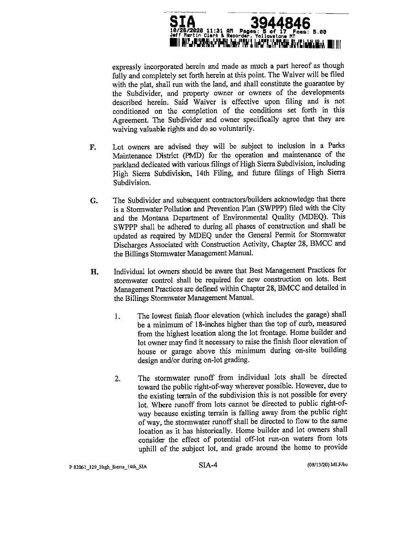

**expresslyincorporatedhereinand made as much <sup>a</sup> parthereof as though** fully and completely set forth herein at this point. The Waiver will be filed with the plat, shall run with the land, and shall constitute the guarantee by **the Subdivider,and property owner or owners of the developments described herein. Said Waiver is effectiveupon filingand is not conditioned on the completion of the conditions set forth in this Agreement. The Subdivider and owner specificallyagree thatthey are waiving valuablerightsand do so voluntarily.**

- **F. Lot owners are advised they will be subjectto inclusionin a Parks Maintenance District(PMD) for the operationand maintenance of the** parkland dedicated with various filings of High Sierra Subdivision, including High Sierra Subdivision, 14th Filing, and future filings of High Sierra **Subdivision.**
- **G.** The Subdivider and subsequent contractors/builders acknowledge that there **isa Stormwater Pollutionand PreventionPlan (SWPPP) filedwith the City and the Montana Department of Environmental Quality (MDEQ). This SWPPP shallbe adhered to duringallphases of constructionand shallbe updated as requiredby MDEQ under the General Permit for Stormwater DischargesAssociatedwith ConstructionActivity,Chapter 28, BMCC and** the Billings Stormwater Management Manual.
- **H.** Individual lot owners should be aware that Best Management Practices for **stormwater controlshallbe requiredfor new constructionon lots.Best Management PracticesaredefinedwithinChapter28,BMCC and detailedin** the Billings Stormwater Management Manual.
	- 1. The lowest finish floor elevation (which includes the garage) shall **be a minimum of 18-incheshigherthan the top of curb,measured** from the highest location along the lot frontage. Home builder and lot owner may find it necessary to raise the finish floor elevation of **house or garage above this minimum during on-sitebuilding** design and/or during on-lot grading.
	- **2. The stormwater runoff from individuallots shall be directed toward thepublicright-of-waywherever possible.However, due to** the existing terrain of the subdivision this is not possible for every lot. Where runoff from lots cannot be directed to public right-ofway because existing terrain is falling away from the public right **ofway, the stormwaterrunoffshallbe directedto flow to the same locationas ithas historically.Home builderand lotowners shall conside:rthe effectof potentialoff-lotrun-on waters from lots uphillof the subjectlot,and grade around the home to provide**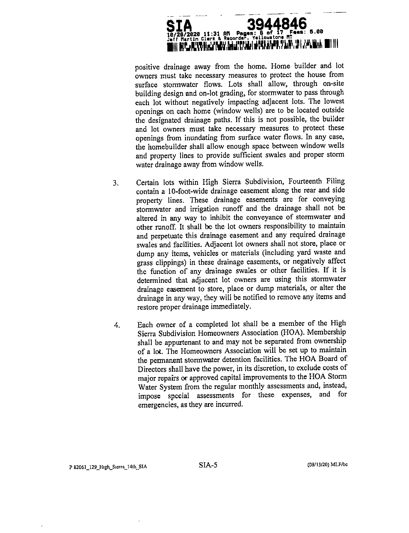

**positivedrainage away from the home. Home builderand lot owners must take necessarymeasures to protectthe house from surface stormwater flows. Lots shall allow, through on-site buildingdesignand on-lotgrading,forstormwaterto pass through each** lot without negatively impacting adjacent lots. The lowest **openings on each home (window wells)are to be locatedoutside** the designated drainage paths. If this is not possible, the builder **and lot owners must take necessary measures to protectthese openings from inundatingfrom surfacewater flows.In any case, the homebuilder shallallow enough space between window wells** and property lines to provide sufficient swales and proper storm **water drainageaway from window wells.**

- **3. Certain lotswithin High Sierra Subdivision,Fourteenth Filing containa 10-foot-widedrainageeasement along the rearand side property lines.These drainage easements are for conveying stormwater and irrigationrunoff and the drainage shallnot be alteredin any way to inhibitthe conveyance of stormwater and otherrunoff.Itshallbe the lotowners responsibilityto maintain** and perpetuate this drainage easement and any required drainage **swalesand facilities. Adjacent lotowners shallnot store,place or** dump any items, vehicles or materials (including yard waste and **grass clippings)in these drainageeasements,or negativelyaffect the functionof any drainage swales or other facilities.If it is determined that adjacent lot owners are using this stormwater** drainage easement to store, place or dump materials, or alter the **drainageinany way, they willbe notifiedto remove any itemsand** restore proper drainage immediately.
- **4. Each owner of <sup>a</sup> completed lotshallbe <sup>a</sup> member of the High** Sierra Subdivision Homeowners Association (HOA). Membership **shall be appurtenant to and may not be separated from ownership of a lot.The Homeowners Associationwillbe setup to maintain the pennanent stormwater detentionfacilities. The HOA Board of Directorsshallhave thepower, initsdiscretion,to excludecostsof major repairsor approved capitalimprovements to theHOA Storm** Water System from the regular monthly assessments and, instead, **impose special assessments for these expenses, and for emergencies,as they areincurred.**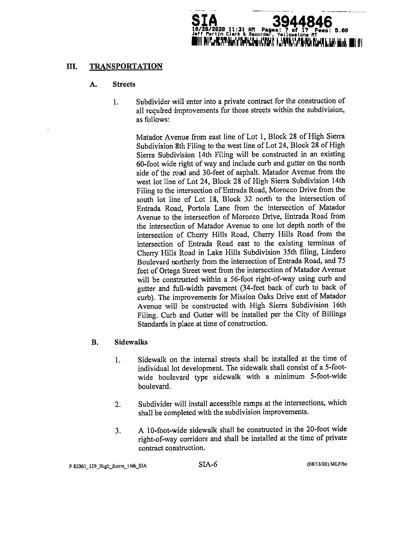

# **III. TRANSPORTATION**

#### **A. Streets**

1. **Subdivider will enter into a private contract for the construction of allrequiredimprovements forthose streetswithinthe subdivision, as follows:**

> **Matador Avenue from eastlineof Lot 1,Block 28 of High Sierra Subdivision8th Filingtothewest lineof Lot 24, Block 28 of High SierraSubdivision14th Filingwill be constructedin an existing 60-footwide rightof way and includecurb and gutteron thenorth sideof the road and 30-feetof asphalt.Matador Avenue from the** west lot line of Lot 24, Block 28 of High Sierra Subdivision 14th Filing to the intersection of Entrada Road, Morocco Drive from the **south lot lineof Lot 18, Block 32 north to the intersectionof Entrada Road, Portola Lane from the intersectionof Matador Avenue to the intersectionof Morocco Drive,Entrada Road from the intersectionof Matador Avenue to one lotdepth north of the intersectionof Cherry HillsRoad, Cherry HillsRoad from the intersectionof Entrada Road east to the existingterminus of Cherry HillsRoad in Lake HillsSubdivision35th filing,Lindero Boulevard imrtherlyfrom the intersectionof Entrada Road, and <sup>75</sup> feetof Ortega Streetwest from the intersectionof Matador Avenue** will be constructed within a 56-foot right-of-way using curb and gutter and full-width pavement (34-feet back of curb to back of **curb).The improvements forMission Oaks Drive eastof Matador** Avenue will be constructed with High Sierra Subdivision 16th **Filing.Curb and Gutterwillbe installedper the City of Billings Standardsinplaceattime of construction.**

#### **B. Sidewalks**

- **1. Sidewalk on the internalstreetsshallbe installedat the time of** individual lot development. The sidewalk shall consist of a 5-foot**wide boulevard type sidewalk with <sup>a</sup> minimum 5-foot-wide boulevard.**
- 2. **Subdivider will install accessible ramps at the intersections, which** shall be completed with the subdivision improvements.
- **3. A 10-foot-widesidewalk shallbe constructedin the 20-footwide right-of-waycorridorsand shallbe installedat the time of private** contract construction.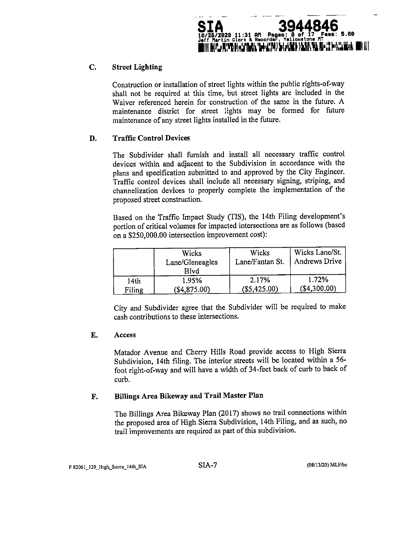

## **C. StreetLighting**

Construction or installation of street lights within the public rights-of-way **shallnot be requiredat thistime, but streetlightsare included in the Waiver referencedherein for constructionof the same in the future.A maintenance districtfor street lights may be formed for future** maintenance of any street lights installed in the future.

#### **D. Traffic Control Devices**

The Subdivider shall furnish and install all necessary traffic control **devices within and adjacentto the Subdivisionin accordance with the plans** and specification submitted to and approved by the City Engineer. Traffic control devices shall include all necessary signing, striping, and **channelizationdevices to properly complete the implementation of the** proposed street construction.

**Based** on the Traffic Impact Study (TIS), the 14th Filing development's **portionof criticalvolumes forimpacted intersectionsareas follows(based on a \$250,000.00intersectionimprovement cost):**

|        | Wicks<br>Lane/Gleneagles<br>Blvd | Wicks<br>Lane/Fantan St. | Wicks Lane/St.<br>Andrews Drive |
|--------|----------------------------------|--------------------------|---------------------------------|
| 14th   | 1.95%                            | 2.17%                    | 1.72%                           |
| Filing | (\$4,875.00)                     | (\$5,425.00)             | (\$4,300.00)                    |

**City and Subdivideragree thatthe Subdividerwillbe requiredto make** cash contributions to these intersections.

#### **E. Access**

**Matador Avenue and Cherry HillsRoad provide access to High Sierra Subdivision,I4th filing.The interiorstreetswillbe locatedwithin <sup>a</sup> 56 footright-of-wayand willhave <sup>a</sup> width of 34-feetback of curb to back of curb.**

#### **F. BillingsArea Bikeway and TrailMaster Plan**

**The BillingsArea Bikeway Plan (2017) shows no trailconnectionswithin theproposed areaof High SierraSubdivision,14thFiling,and as such,no trailimprovements arerequiredaspartof thissubdivision.**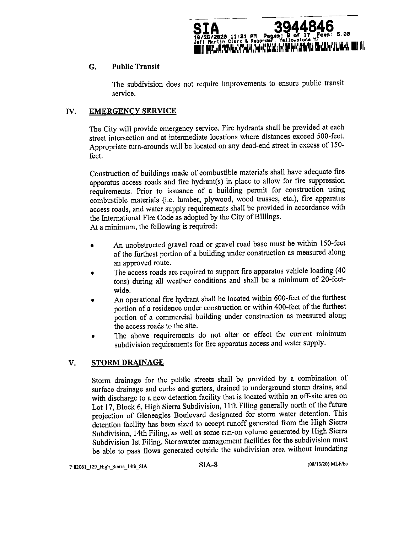

#### **G. Public Transit**

The subdivision does not require improvements to ensure public transit **service.**

## **IV. EMERGENCY SERVICE**

**The City willprovide emergency service.Firehydrantsshallbe provided ateach streetintersectionand at intermediatelocationswhere distancesexceed 500-feet.** Appropriate turn-arounds will be located on any dead-end street in excess of 150**feet.**

**Constructionof buildingsmade of combustiblematerialsshallhave adequatefire apparatusaccessroads and firehydrant(s)in place to allow for firesuppression requirements.Prior to issuance of <sup>a</sup> building permit for constructionusing** combustible materials (i.e. lumber, plywood, wood trusses, etc.), fire apparatus **accessroads,and water supply requirementsshallbe providedin accordancewith theInternationalFireCode as adopted by theCityof Billings.**

At a minimum, the following is required:

- An unobstructed gravel road or gravel road base must be within 150-feet **of the furthestportionof <sup>a</sup> buildingunder constructionas measured along an approved route.**
- The access roads are required to support fire apparatus vehicle loading (40 tons) during all weather conditions and shall be a minimum of 20-feet**wide.**
- An operational fire hydrant shall be located within 600-feet of the furthest **portionof <sup>a</sup> residenceunder constructionor within400-feetof the furthest portionof <sup>a</sup> commercial buildingunder constructionas measured along** the access roads to the site.
- **The above requirements do not alteror effectthe current minimum** subdivision requirements for fire apparatus access and water supply.

# **V. STORMDRAINAGE**

**Storm drainage for the public streetsshallbe provided by <sup>a</sup> combination of surfacedrainageand curbs and gutters,drainedto underground storm drains,and** with discharge to a new detention facility that is located within an off-site area on Lot 17, Block 6, High Sierra Subdivision, 11th Filing generally north of the future **projectionof Gleneagles Boulevard designatedfor storm water detention.This** detention facility has been sized to accept runoff generated from the High Sierra **Subdivision,14thFiling,aswell as some run-on volume generatedby High Sierra Subdivision1stFiling.Stormwater management facilitiesforthesubdivisionmust be able to pass flows generatedoutsidethe subdivisionarea without inundating**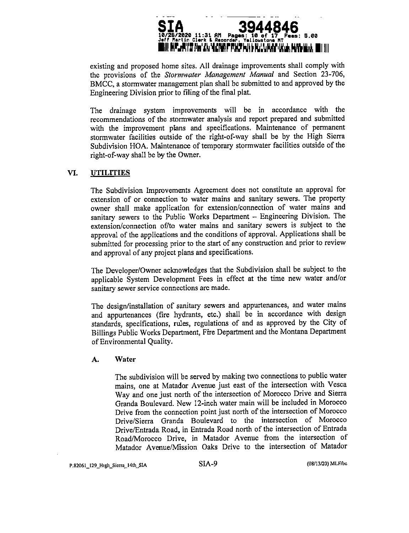

**existingand proposed home sites.All drainageimprovements shallcomply with the provisionsof the Stormwater Management Manual and Section 23-706, BMCC, a** stormwater management plan shall be submitted to and approved by the Engineering Division prior to filing of the final plat.

**The drainage system improvements will be in accordance with the recommendations of the stormwater analysisand reportprepared and submitted with the improvement plans and specifications.Maintenance of permanent stormwater facilitiesoutsideof the right-of-wayshallbe by the High Sierra SubdivisionHOA. Maintenance of temporary stormwater facilitiesoutsideof the** right-of-way shall be by the Owner.

#### **VL UTILITIES**

**The SubdivisionImprovements Agreement does not constitutean approval for extension** of or connection to water mains and sanitary sewers. The property **owner** shall make application for extension/connection of water mains and **sanitarysewers to the Public Works Department - Engineering Division.The**  $extension/connection of/to water mains and sanitary sewers is subject to the$ **approvalof the applicationsand the conditionsof approval.Applicationsshallbe** submitted for processing prior to the start of any construction and prior to review **and approvalof any projectplansand specifications.**

**The Developer/Owner acknowledges thatthe Subdivisionshallbe subjectto the applicableSystem Development Fees in effectat the time new water and/or sanitarysewer serviceconnectionsaremade.**

**The design/installation of sanitarysewers and appurtenances,and water mains** and appurtenances (fire hydrants, etc.) shall be in accordance with design **standards,specifications,rules,regulationsof and as approved by the City of BillingsPublicWorks Department,FireDepartment and theMontana Department of EnvironmentalQuality.**

#### **A. Water**

The subdivision will be served by making two connections to public water **mains, one at Matador Avenue justeast of the intersectionwith Vesca Way and one justnorth of the intersectionof Morocco Drive and Sierra Granda Boulevard.New 12-inchwater main willbe includedin Morocco Drive from the connectionpointjustnorthof the intersectionof Morocco Drive/Sierra Granda Boulevard to the intersectionof Morocco Drive/EntradaRoad, in EntradaRoad northof the intersectionof Entrada Road/Morocco Drive, in Matador Avenue from the intersectionof Matador Avenue/Mission Oaks Drive to the intersectionof Matador**

**P.8206l\_129\_High\_sierra 14th\_sIA SIA-9 (08/l3/20)MLF/bc**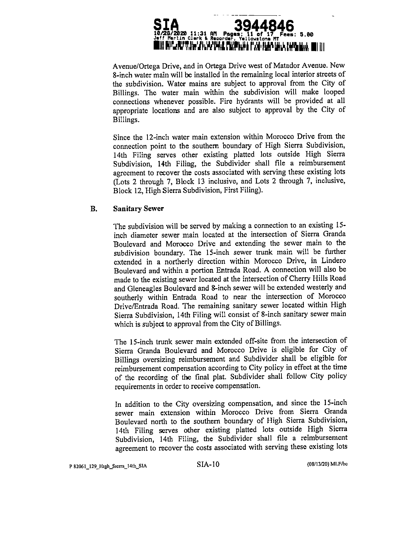

**Avenue/Ortega Drive,and in Ortega Drive west of Matador Avenue. New 8-inchwater main willbe installedintheremaining localinteriorstreetsof the subdivision.Water mains are subjectto approval from the City of Billings.The water main within the subdivision will make looped connectionswhenever possible.Fire hydrants will be provided at all appropriatelocationsand are also subjectto approval by the City of Billings.**

**Since the 12-inchwater main extensionwithin Morocco Drive from the connection point to the southern boundary of High Sierra Subdivision, 14th Filing serves other existing platted lots outside High Sierra Subdivision, 14th Filing,the Subdivider shall file a reimbursement agreement to recoverthe costsassociatedwith servingthese existinglots (Lots <sup>2</sup> through 7, Block <sup>13</sup> inclusive,and Lots <sup>2</sup> through 7, inclusive, Block** 12, High Sierra Subdivision, First Filing).

#### **B. Sanitary Sewer**

**The subdivisionwillbe served by making <sup>a</sup> connectionto an existing15 inch diameter sewer main locatedat the intersectionof SierraGranda Boulevard and Morocco Drive and extending the sewer main to the subdivisionboundary. The 15-inch sewer trunk main will be further extended in <sup>a</sup> northerlydirectionwithin Morocco Drive, in Lindero Boulevard and within <sup>a</sup> portionEntrada Road. <sup>A</sup> connectionwillalsobe made tothe existingsewer locatedatthe intersectionof Cherry HillsRoad** and Gleneagles Boulevard and 8-inch sewer will be extended westerly and **southerly within Entrada Road to near the intersectionof Morocco Drive/EntradaRoad. The remaining sanitarysewer locatedwithin High** Sierra Subdivision, 14th Filing will consist of 8-inch sanitary sewer main **which issubjectto approvalfrom the Cityof Billings.**

**The** 15-inch trunk sewer main extended off-site from the intersection of **Sierra Granda Boulevard and Morocco Drive is eligiblefor City of** Billings oversizing reimbursement and Subdivider shall be eligible for **reimbursement compensation accordingto Citypolicyin effectatthetime of the recordingof the finalplat.Subdivider shallfollow City policy** requirements in order to receive compensation.

In addition to the City oversizing compensation, and since the 15-inch **sewer main extension within Morocco Drive from Sierra Granda Boulevard north to the southern boundary of High SierraSubdivision, 14th Filing serves other existing platted lots outside High Sierra Subdivision, 14th Filing,the Subdivider shall file <sup>a</sup> reimbursement** agreement to recover the costs associated with serving these existing lots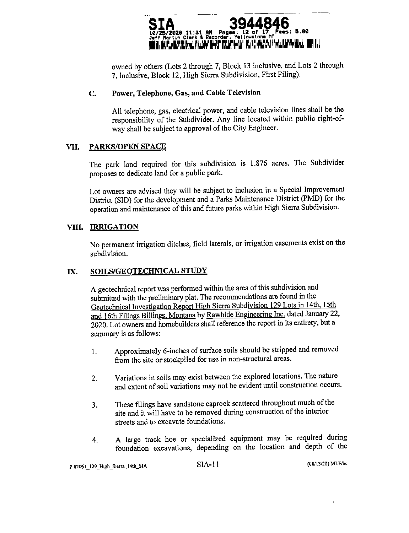

**owned by others(Lots2 through7,Block <sup>13</sup> inclusive,and Lots <sup>2</sup> through** 7, inclusive, Block 12, High Sierra Subdivision, First Filing).

#### **C. Power, Telephone, Gas, and Cable Television**

All telephone, gas, electrical power, and cable television lines shall be the responsibility of the Subdivider. Any line located within public right-of**way shallbe subjectto approvalof theCityEngineer.**

#### **VII. PARKS/OPEN SPACE**

**The park land required for this subdivisionis 1.876 acres.The Subdivider proposesto dedicatelandfora publicpark.**

Lot owners are advised they will be subject to inclusion in a Special Improvement **District (SID)** for the development and a Parks Maintenance District (PMD) for the **operation and maintenance of this and future parks within High Sierra Subdivision.** 

## **VIIL IRRIGATION**

No permanent irrigation ditches, field laterals, or irrigation easements exist on the **subdivision.**

#### **IX. SOILS/GEOTECHNICAL STUDY**

A geotechnical report was performed within the area of this subdivision and submitted with the preliminary plat. The recommendations are found in the **GeotechnicalInvestigationReportHigh SierraSubdivision129 Lots in 14th,15th** and 16th Filings Billings, Montana by Rawhide Engineering Inc. dated January 22, **2020.Lot owners and homebuildersshallreferencethereportinitsentirety,but <sup>a</sup> summary isasfollows:**

- 1. **Approximately** 6-inches of surface soils should be stripped and removed from the site or stockpiled for use in non-structural areas.
- **2. Variationsinsoilsmay existbetween theexploredlocations.The nature** and extent of soil variations may not be evident until construction occurs.
- **3. These filingshave sandstonecaprock scatteredthroughoutmuch of the siteand itwillhave tobe removed duringconstructionof theinterior** streets and to excavate foundations.
- **4. <sup>A</sup> large track hoe or specializedequipment may be required during** foundation excavations, depending on the location and depth of the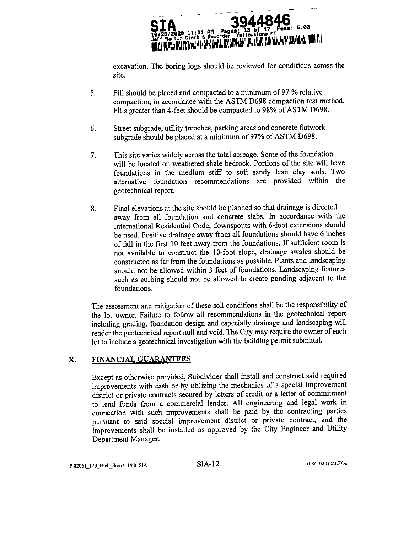

**excavation.The boring logsshould be reviewed forconditionsacrossthe site.**

- **5. Fillshouldbe placedand compacted to a minimum of97 % relative** compaction, in accordance with the ASTM D698 compaction test method. **Fillsgreaterthan4-feetshouldbe compacted to 98% of ASTM D698.**
- **6. Streetsubgrade,utilitytrenches,parkingareasand concreteflatwork subgradeshouldbe placedata minimum of 97% of ASTM D698.**
- **7.** This site varies widely across the total acreage. Some of the foundation **willbe locatedon weathered shalebedrock.Portionsof the sitewillhave foundations in the medium stiffto soft sandy lean clay soils.Two alternativefoundation recommendations are provided within the** geotechnical report.
- 8. Final elevations at the site should be planned so that drainage is directed **away from all foundation and concrete slabs.In accordance with the** International Residential Code, downspouts with 6-foot extensions should **be used.Positivedrainageaway from allfoundationsshould have 6 inches of fallin the first10 feetaway from the foundations.Ifsufficientroom is not availableto constructthe 10-footslope,drainage swales should be constructedas farfrom thefoundationsaspossible.Plantsand landscaping should not be allowed within3 feetof foundations.Landscaping features such as curbing should not be allowed to createponding adjacentto the foundations.**

The assessment and mitigation of these soil conditions shall be the responsibility of the lot owner. Failure to follow all recommendations in the geotechnical report including grading, foundation design and especially drainage and landscaping will render the geotechnical report null and void. The City may require the owner of each lot to include a geotechnical investigation with the building permit submittal.

#### **X. FINANCIAL GUARANTEES**

Except as otherwise provided, Subdivider shall install and construct said required **improvements with cash or by utilizingthe mechanics of <sup>a</sup> specialimprovement districtor privatecontractssecuredby lettersof creditor <sup>a</sup> letterof commitment to lend funds fronta commercial lender.All engineeringand legalwork in connection with such improvements shallbe paid by the contractingparties pursuant to said special improvement districtor private contract,and the improvements shallbe installedas approved by the City Engineer and Utility Department Manager.**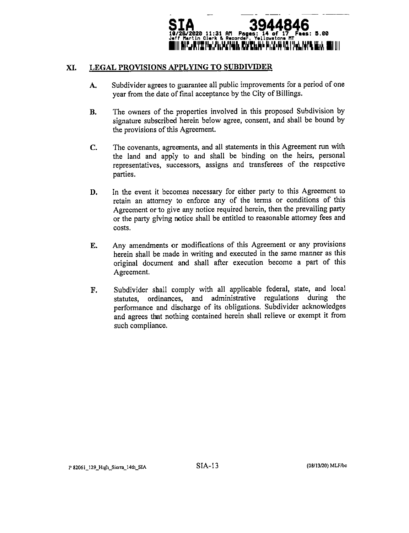

#### **LEGAL PROVISIONS APPLYING TO SUBDIVIDER** XI.

- Subdivider agrees to guarantee all public improvements for a period of one A. year from the date of final acceptance by the City of Billings.
- The owners of the properties involved in this proposed Subdivision by **B.** signature subscribed herein below agree, consent, and shall be bound by the provisions of this Agreement.
- The covenants, agreements, and all statements in this Agreement run with  $C_{\bullet}$ the land and apply to and shall be binding on the heirs, personal representatives, successors, assigns and transferees of the respective parties.
- In the event it becomes necessary for either party to this Agreement to D. retain an attorney to enforce any of the terms or conditions of this Agreement or to give any notice required herein, then the prevailing party or the party giving notice shall be entitled to reasonable attorney fees and costs.
- Any amendments or modifications of this Agreement or any provisions Е. herein shall be made in writing and executed in the same manner as this original document and shall after execution become a part of this Agreement.
- Subdivider shall comply with all applicable federal, state, and local F. statutes, ordinances, and administrative regulations during the performance and discharge of its obligations. Subdivider acknowledges and agrees that nothing contained herein shall relieve or exempt it from such compliance.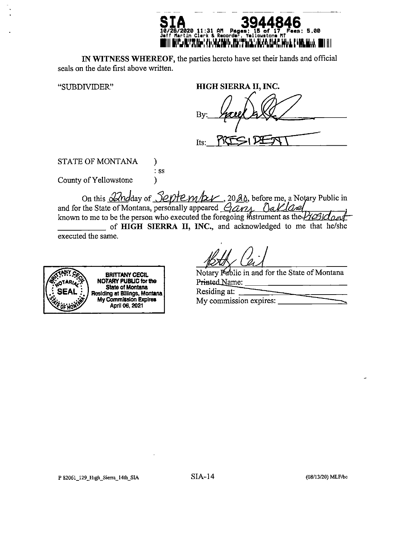![](_page_14_Picture_0.jpeg)

IN WITNESS WHEREOF, the parties hereto have set their hands and official seals on the date first above written.

"SUBDIVIDER"

| HIGH SIERRA II, INC. |
|----------------------|
|                      |
|                      |
| By                   |
|                      |
|                      |
| Its:                 |

**STATE OF MONTANA**  $\mathcal{Y}$  $\cdot$  SS County of Yellowstone  $\mathcal{E}$ 

On this <u>dand</u> day of <u>September</u>, 20 <u>Ab</u>, before me, a Notary Public in and for the State of Montana, personally appeared *Gamy* Daklasel known to me to be the person who executed the foregoing instrument as the *Prefile* of HIGH SIERRA II, INC., and acknowledged to me that he/she executed the same.

![](_page_14_Picture_6.jpeg)

**BRITTANY CECIL** NOTARY PUBLIC for the NOTAHT PUBLIC ION THE<br>State of Montana<br>Residing at Billings, Montana<br>My Commission Expires<br>April 06, 2021

| $\prime$    |  |
|-------------|--|
| <b>DATI</b> |  |

Notary Fublic in and for the State of Montana Printed Name: Residing at:

My commission expires: \_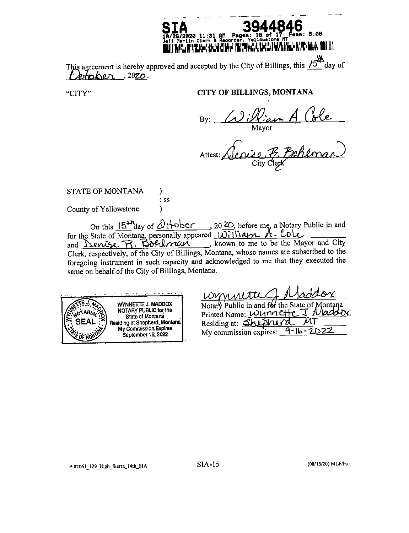![](_page_15_Picture_0.jpeg)

This agreement is hereby approved and accepted by the City of Billings, this  $\sqrt{5}$  day of  $Petaber.2020$ .

"CITY"

# CITY OF BILLINGS, MONTANA

By: William A Cole

STATE OF MONTANA  $\mathcal{Y}$  $:$  SS County of Yellowstone  $\lambda$ 

On this 15<sup>th</sup>day of  $\&$  t+ober, 20  $\&$ , before me, a Notary Public in and for the State of Montana, personally appeared William A. Cole and Denise R. Bohlman , known to me to be the Mayor and City Clerk, respectively, of the City of Billings, Montana, whose names are subscribed to the foregoing instrument in such capacity and acknowledged to me that they executed the same on behalf of the City of Billings, Montana.

![](_page_15_Picture_8.jpeg)

|  | Wynwitte A Maddox<br>Notary Public in and for the State of Montana |  |  |
|--|--------------------------------------------------------------------|--|--|
|  |                                                                    |  |  |

| Printed Name: Wynnelte J Maddox        |  |
|----------------------------------------|--|
| Residing at: Shepherd MT               |  |
| My commission expires: $9 - 16 - 2D22$ |  |